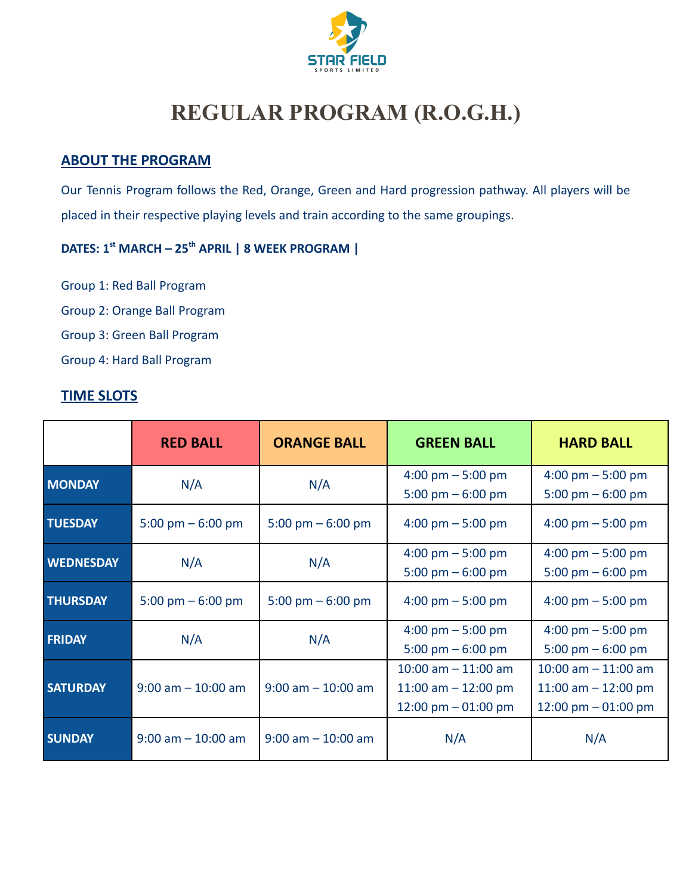

# **REGULAR PROGRAM (R.O.G.H.)**

## **ABOUT THE PROGRAM**

Our Tennis Program follows the Red, Orange, Green and Hard progression pathway. All players will be placed in their respective playing levels and train according to the same groupings.

## **DATES: 1st MARCH – 25th APRIL | 8 WEEK PROGRAM |**

Group 1: Red Ball Program

Group 2: Orange Ball Program

Group 3: Green Ball Program

Group 4: Hard Ball Program

## **TIME SLOTS**

|                  | <b>RED BALL</b>       | <b>ORANGE BALL</b>    | <b>GREEN BALL</b>                   | <b>HARD BALL</b>                    |
|------------------|-----------------------|-----------------------|-------------------------------------|-------------------------------------|
| <b>MONDAY</b>    | N/A                   | N/A                   | $4:00 \text{ pm} - 5:00 \text{ pm}$ | 4:00 pm $-$ 5:00 pm                 |
|                  |                       |                       | 5:00 pm $-$ 6:00 pm                 | 5:00 pm $-$ 6:00 pm                 |
| <b>TUESDAY</b>   | 5:00 pm $-$ 6:00 pm   | 5:00 pm $-$ 6:00 pm   | $4:00 \text{ pm} - 5:00 \text{ pm}$ | $4:00 \text{ pm} - 5:00 \text{ pm}$ |
| <b>WEDNESDAY</b> | N/A                   |                       | $4:00 \text{ pm} - 5:00 \text{ pm}$ | $4:00 \text{ pm} - 5:00 \text{ pm}$ |
|                  |                       | N/A                   | 5:00 pm $-$ 6:00 pm                 | 5:00 pm $-$ 6:00 pm                 |
| <b>THURSDAY</b>  | 5:00 pm $-$ 6:00 pm   | 5:00 pm $-$ 6:00 pm   | $4:00 \text{ pm} - 5:00 \text{ pm}$ | $4:00 \text{ pm} - 5:00 \text{ pm}$ |
|                  | N/A                   | N/A                   | $4:00 \text{ pm} - 5:00 \text{ pm}$ | 4:00 pm $-$ 5:00 pm                 |
| <b>FRIDAY</b>    |                       |                       | 5:00 pm $-$ 6:00 pm                 | 5:00 pm $-$ 6:00 pm                 |
|                  | $9:00$ am $-10:00$ am | $9:00$ am $-10:00$ am | $10:00$ am $- 11:00$ am             | $10:00$ am $- 11:00$ am             |
| <b>SATURDAY</b>  |                       |                       | 11:00 am $-$ 12:00 pm               | 11:00 am $-$ 12:00 pm               |
|                  |                       |                       | 12:00 pm $-$ 01:00 pm               | 12:00 pm $-$ 01:00 pm               |
| <b>SUNDAY</b>    | $9:00$ am $-10:00$ am | $9:00$ am $-10:00$ am | N/A<br>N/A                          |                                     |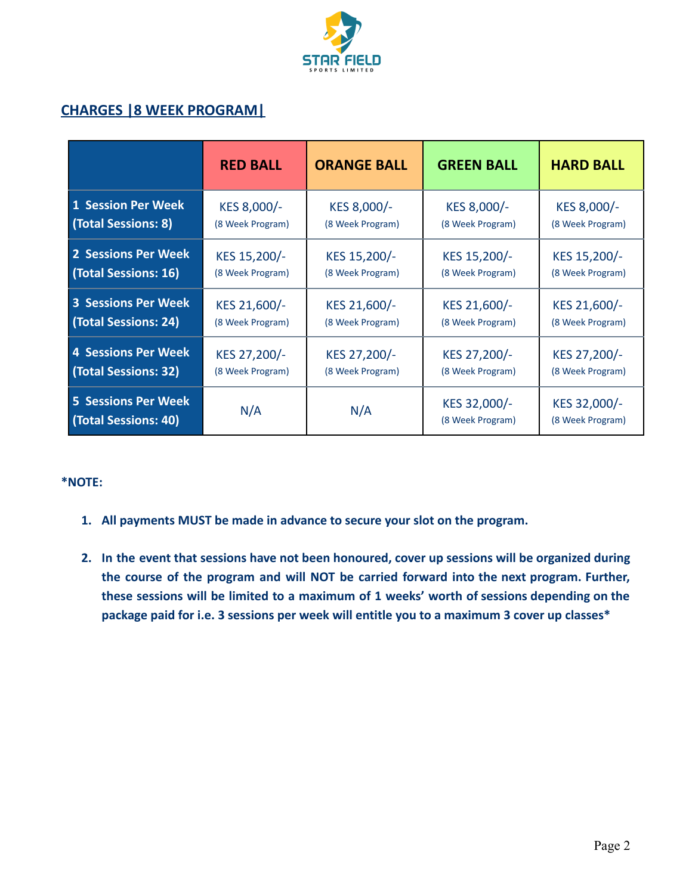

## **CHARGES |8 WEEK PROGRAM|**

|                                                    | <b>RED BALL</b>  | <b>ORANGE BALL</b> | <b>GREEN BALL</b>                | <b>HARD BALL</b>                 |
|----------------------------------------------------|------------------|--------------------|----------------------------------|----------------------------------|
| <b>1 Session Per Week</b>                          | KES 8,000/-      | KES 8,000/-        | KES 8,000/-                      | KES 8,000/-                      |
| (Total Sessions: 8)                                | (8 Week Program) | (8 Week Program)   | (8 Week Program)                 | (8 Week Program)                 |
| 2 Sessions Per Week                                | KES 15,200/-     | KES 15,200/-       | KES 15,200/-                     | KES 15,200/-                     |
| (Total Sessions: 16)                               | (8 Week Program) | (8 Week Program)   | (8 Week Program)                 | (8 Week Program)                 |
| <b>3 Sessions Per Week</b>                         | KES 21,600/-     | KES 21,600/-       | KES 21,600/-                     | KES 21,600/-                     |
| (Total Sessions: 24)                               | (8 Week Program) | (8 Week Program)   | (8 Week Program)                 | (8 Week Program)                 |
| <b>4 Sessions Per Week</b>                         | KES 27,200/-     | KES 27,200/-       | KES 27,200/-                     | KES 27,200/-                     |
| (Total Sessions: 32)                               | (8 Week Program) | (8 Week Program)   | (8 Week Program)                 | (8 Week Program)                 |
| <b>5 Sessions Per Week</b><br>(Total Sessions: 40) | N/A              | N/A                | KES 32,000/-<br>(8 Week Program) | KES 32,000/-<br>(8 Week Program) |

#### **\*NOTE:**

- **1. All payments MUST be made in advance to secure your slot on the program.**
- **2. In the event that sessions have not been honoured, cover up sessions will be organized during the course of the program and will NOT be carried forward into the next program. Further, these sessions will be limited to a maximum of 1 weeks' worth of sessions depending on the package paid for i.e. 3 sessions per week will entitle you to a maximum 3 cover up classes\***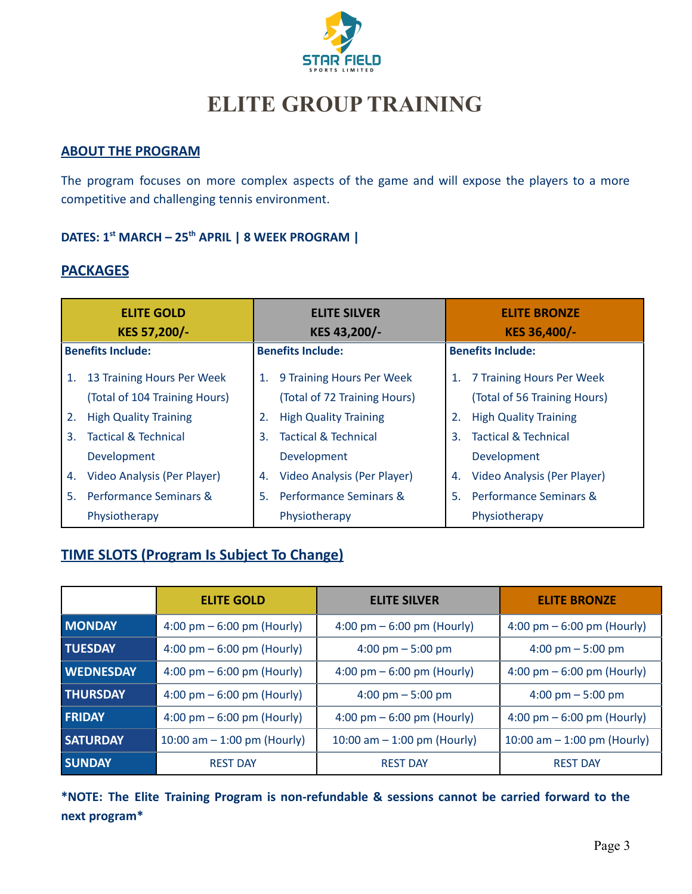

## **ELITE GROUP TRAINING**

#### **ABOUT THE PROGRAM**

The program focuses on more complex aspects of the game and will expose the players to a more competitive and challenging tennis environment.

## **DATES: 1st MARCH – 25th APRIL | 8 WEEK PROGRAM |**

## **PACKAGES**

| <b>ELITE GOLD</b><br>KES 57,200/- |                                 | <b>ELITE SILVER</b><br>KES 43,200/- |                                   | <b>ELITE BRONZE</b><br>KES 36,400/- |                                 |  |
|-----------------------------------|---------------------------------|-------------------------------------|-----------------------------------|-------------------------------------|---------------------------------|--|
| <b>Benefits Include:</b>          |                                 | <b>Benefits Include:</b>            |                                   | <b>Benefits Include:</b>            |                                 |  |
| 1.                                | 13 Training Hours Per Week      | 1.                                  | 9 Training Hours Per Week         | 1.                                  | 7 Training Hours Per Week       |  |
|                                   | (Total of 104 Training Hours)   |                                     | (Total of 72 Training Hours)      |                                     | (Total of 56 Training Hours)    |  |
| 2.                                | <b>High Quality Training</b>    | 2.                                  | <b>High Quality Training</b>      |                                     | <b>High Quality Training</b>    |  |
| 3.                                | <b>Tactical &amp; Technical</b> | 3.                                  | <b>Tactical &amp; Technical</b>   | 3.                                  | <b>Tactical &amp; Technical</b> |  |
|                                   | Development                     |                                     | Development                       |                                     | Development                     |  |
| 4.                                | Video Analysis (Per Player)     | 4.                                  | Video Analysis (Per Player)       | 4.                                  | Video Analysis (Per Player)     |  |
| 5.                                | Performance Seminars &          | 5.                                  | <b>Performance Seminars &amp;</b> | 5.                                  | Performance Seminars &          |  |
|                                   | Physiotherapy                   |                                     | Physiotherapy                     |                                     | Physiotherapy                   |  |

## **TIME SLOTS (Program Is Subject To Change)**

|                  | <b>ELITE GOLD</b>                            | <b>ELITE SILVER</b>           | <b>ELITE BRONZE</b>                          |  |
|------------------|----------------------------------------------|-------------------------------|----------------------------------------------|--|
| <b>MONDAY</b>    | 4:00 pm $-6:00$ pm (Hourly)                  | 4:00 pm $-6:00$ pm (Hourly)   | $4:00 \text{ pm} - 6:00 \text{ pm}$ (Hourly) |  |
| <b>TUESDAY</b>   | 4:00 pm $-6:00$ pm (Hourly)                  | 4:00 pm $-5:00$ pm            | $4:00 \text{ pm} - 5:00 \text{ pm}$          |  |
| <b>WEDNESDAY</b> | $4:00 \text{ pm} - 6:00 \text{ pm}$ (Hourly) | 4:00 pm $-6:00$ pm (Hourly)   | $4:00 \text{ pm} - 6:00 \text{ pm}$ (Hourly) |  |
| <b>THURSDAY</b>  | $4:00 \text{ pm} - 6:00 \text{ pm}$ (Hourly) | 4:00 pm $-5:00$ pm            | $4:00 \text{ pm} - 5:00 \text{ pm}$          |  |
| <b>FRIDAY</b>    | $4:00 \text{ pm} - 6:00 \text{ pm}$ (Hourly) | 4:00 pm $-6:00$ pm (Hourly)   | 4:00 pm $-6:00$ pm (Hourly)                  |  |
| <b>SATURDAY</b>  | 10:00 am $-$ 1:00 pm (Hourly)                | 10:00 am $-$ 1:00 pm (Hourly) | 10:00 am $-$ 1:00 pm (Hourly)                |  |
| <b>SUNDAY</b>    | <b>REST DAY</b>                              | <b>REST DAY</b>               | <b>REST DAY</b>                              |  |

**\*NOTE: The Elite Training Program is non-refundable & sessions cannot be carried forward to the next program\***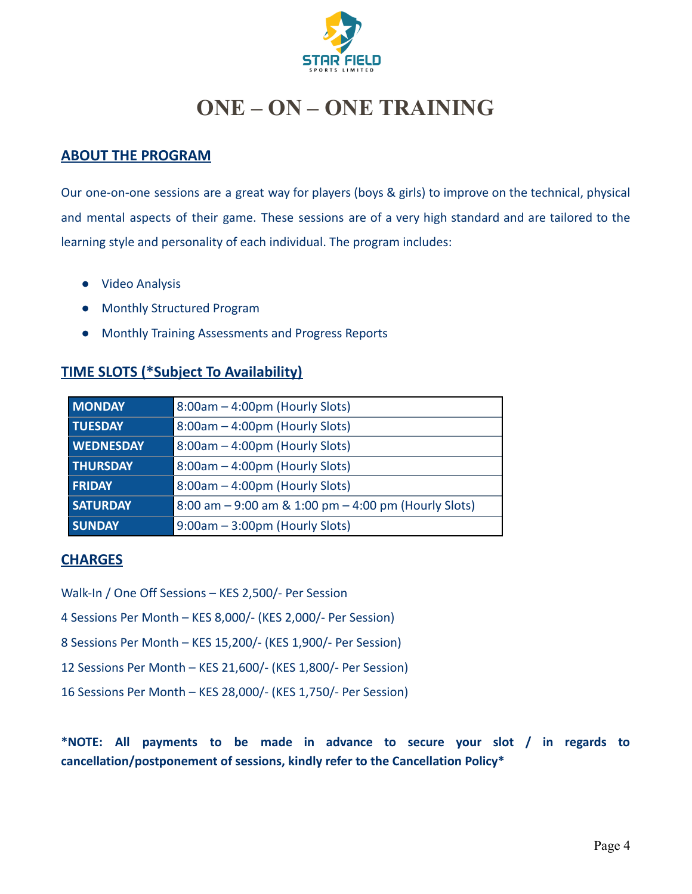

## **ONE – ON – ONE TRAINING**

### **ABOUT THE PROGRAM**

Our one-on-one sessions are a great way for players (boys & girls) to improve on the technical, physical and mental aspects of their game. These sessions are of a very high standard and are tailored to the learning style and personality of each individual. The program includes:

- Video Analysis
- Monthly Structured Program
- Monthly Training Assessments and Progress Reports

### **TIME SLOTS (\*Subject To Availability)**

| <b>MONDAY</b>    | 8:00am - 4:00pm (Hourly Slots)                       |  |
|------------------|------------------------------------------------------|--|
| <b>TUESDAY</b>   | 8:00am - 4:00pm (Hourly Slots)                       |  |
| <b>WEDNESDAY</b> | 8:00am - 4:00pm (Hourly Slots)                       |  |
| <b>THURSDAY</b>  | 8:00am - 4:00pm (Hourly Slots)                       |  |
| <b>FRIDAY</b>    | 8:00am - 4:00pm (Hourly Slots)                       |  |
| <b>SATURDAY</b>  | 8:00 am - 9:00 am & 1:00 pm - 4:00 pm (Hourly Slots) |  |
| <b>SUNDAY</b>    | $9:00am - 3:00pm$ (Hourly Slots)                     |  |

#### **CHARGES**

Walk-In / One Off Sessions – KES 2,500/- Per Session

4 Sessions Per Month – KES 8,000/- (KES 2,000/- Per Session)

- 8 Sessions Per Month KES 15,200/- (KES 1,900/- Per Session)
- 12 Sessions Per Month KES 21,600/- (KES 1,800/- Per Session)
- 16 Sessions Per Month KES 28,000/- (KES 1,750/- Per Session)

**\*NOTE: All payments to be made in advance to secure your slot / in regards to cancellation/postponement of sessions, kindly refer to the Cancellation Policy\***